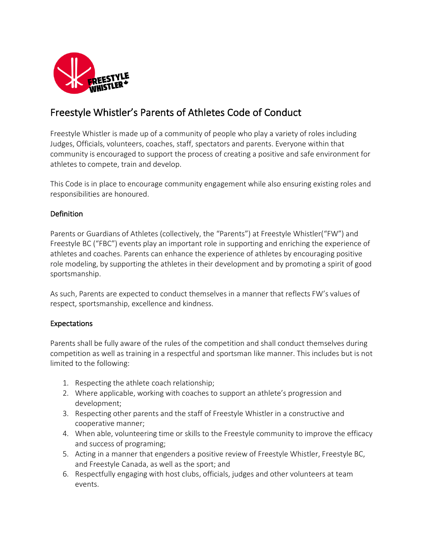

## Freestyle Whistler's Parents of Athletes Code of Conduct

Freestyle Whistler is made up of a community of people who play a variety of roles including Judges, Officials, volunteers, coaches, staff, spectators and parents. Everyone within that community is encouraged to support the process of creating a positive and safe environment for athletes to compete, train and develop.

This Code is in place to encourage community engagement while also ensuring existing roles and responsibilities are honoured.

## Definition

Parents or Guardians of Athletes (collectively, the "Parents") at Freestyle Whistler("FW") and Freestyle BC ("FBC") events play an important role in supporting and enriching the experience of athletes and coaches. Parents can enhance the experience of athletes by encouraging positive role modeling, by supporting the athletes in their development and by promoting a spirit of good sportsmanship.

As such, Parents are expected to conduct themselves in a manner that reflects FW's values of respect, sportsmanship, excellence and kindness.

## Expectations

Parents shall be fully aware of the rules of the competition and shall conduct themselves during competition as well as training in a respectful and sportsman like manner. This includes but is not limited to the following:

- 1. Respecting the athlete coach relationship;
- 2. Where applicable, working with coaches to support an athlete's progression and development;
- 3. Respecting other parents and the staff of Freestyle Whistler in a constructive and cooperative manner;
- 4. When able, volunteering time or skills to the Freestyle community to improve the efficacy and success of programing;
- 5. Acting in a manner that engenders a positive review of Freestyle Whistler, Freestyle BC, and Freestyle Canada, as well as the sport; and
- 6. Respectfully engaging with host clubs, officials, judges and other volunteers at team events.